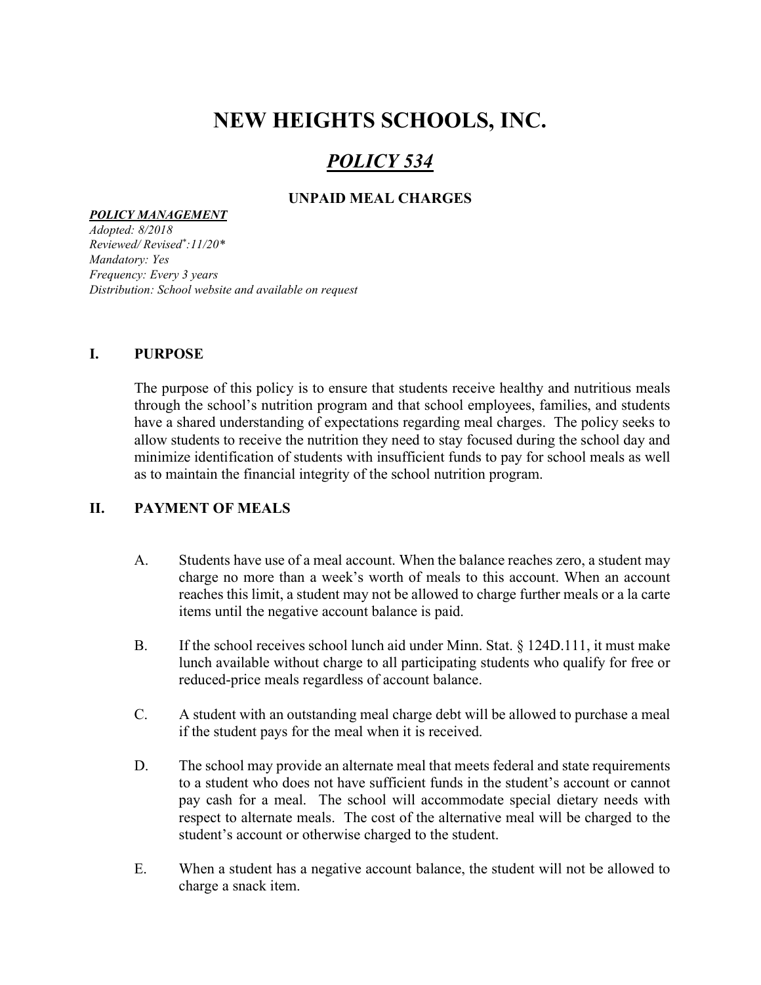# NEW HEIGHTS SCHOOLS, INC.

## POLICY 534

## UNPAID MEAL CHARGES

#### POLICY MANAGEMENT

Adopted: 8/2018 Reviewed/ Revised\* :11/20\* Mandatory: Yes Frequency: Every 3 years Distribution: School website and available on request

#### I. PURPOSE

The purpose of this policy is to ensure that students receive healthy and nutritious meals through the school's nutrition program and that school employees, families, and students have a shared understanding of expectations regarding meal charges. The policy seeks to allow students to receive the nutrition they need to stay focused during the school day and minimize identification of students with insufficient funds to pay for school meals as well as to maintain the financial integrity of the school nutrition program.

### II. PAYMENT OF MEALS

- A. Students have use of a meal account. When the balance reaches zero, a student may charge no more than a week's worth of meals to this account. When an account reaches this limit, a student may not be allowed to charge further meals or a la carte items until the negative account balance is paid.
- B. If the school receives school lunch aid under Minn. Stat. § 124D.111, it must make lunch available without charge to all participating students who qualify for free or reduced-price meals regardless of account balance.
- C. A student with an outstanding meal charge debt will be allowed to purchase a meal if the student pays for the meal when it is received.
- D. The school may provide an alternate meal that meets federal and state requirements to a student who does not have sufficient funds in the student's account or cannot pay cash for a meal. The school will accommodate special dietary needs with respect to alternate meals. The cost of the alternative meal will be charged to the student's account or otherwise charged to the student.
- E. When a student has a negative account balance, the student will not be allowed to charge a snack item.